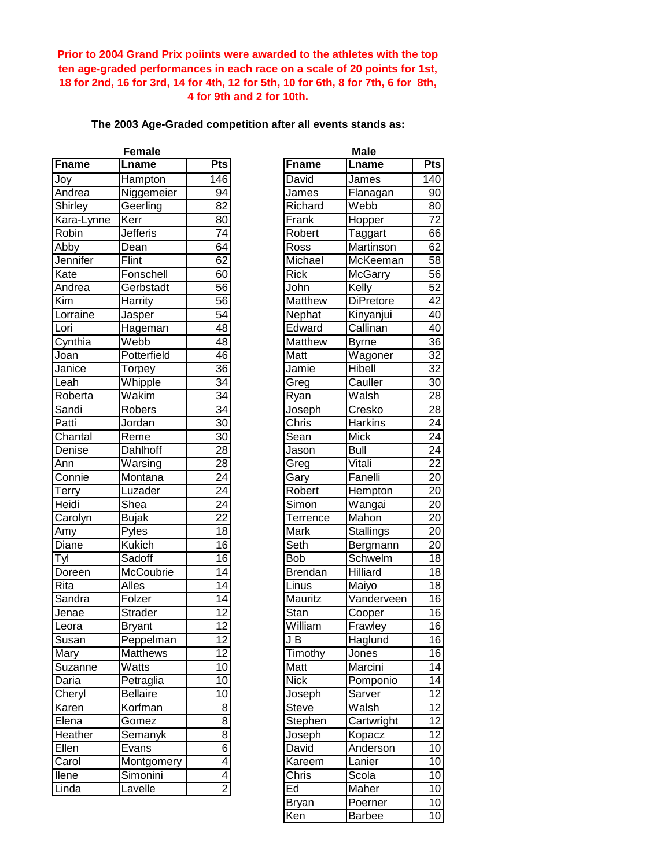**Prior to 2004 Grand Prix poiints were awarded to the athletes with the top ten age-graded performances in each race on a scale of 20 points for 1st, 18 for 2nd, 16 for 3rd, 14 for 4th, 12 for 5th, 10 for 6th, 8 for 7th, 6 for 8th, 4 for 9th and 2 for 10th.**

## **The 2003 Age-Graded competition after all events stands as:**

|              | <b>Female</b>   |                 |                | Male             |                          |  |
|--------------|-----------------|-----------------|----------------|------------------|--------------------------|--|
| <b>Fname</b> | Lname           | Pts             | <b>Fname</b>   | Lname            | Pts                      |  |
| Joy          | Hampton         | 146             | David          | James            | $\overline{140}$         |  |
| Andrea       | Niggemeier      | 94              | James          | Flanagan         | 90                       |  |
| Shirley      | Geerling        | 82              | Richard        | Webb             | 80                       |  |
| Kara-Lynne   | Kerr            | $\overline{80}$ | Frank          | Hopper           | $\overline{72}$          |  |
| Robin        | <b>Jefferis</b> | $\overline{74}$ | Robert         | Taggart          | 66                       |  |
| Abby         | Dean            | 64              | Ross           | Martinson        | 62                       |  |
| Jennifer     | Flint           | 62              | Michael        | McKeeman         | 58                       |  |
| Kate         | Fonschell       | 60              | <b>Rick</b>    | McGarry          | $\overline{56}$          |  |
| Andrea       | Gerbstadt       | 56              | John           | Kelly            | 52                       |  |
| Kim          | Harrity         | $\overline{56}$ | Matthew        | <b>DiPretore</b> | 42                       |  |
| Lorraine     | Jasper          | 54              | Nephat         | Kinyanjui        | 40                       |  |
| Lori         | Hageman         | 48              | Edward         | Callinan         | 40                       |  |
| Cynthia      | Webb            | 48              | Matthew        | <b>Byrne</b>     | $\overline{36}$          |  |
| Joan         | Potterfield     | 46              | Matt           | Wagoner          | $\overline{32}$          |  |
| Janice       | Torpey          | $\overline{36}$ | Jamie          | Hibell           | $\overline{32}$          |  |
| Leah         | Whipple         | $\overline{34}$ | Greg           | Cauller          | 30                       |  |
| Roberta      | Wakim           | $\overline{34}$ | Ryan           | Walsh            | $\overline{28}$          |  |
| Sandi        | Robers          | $\overline{34}$ | Joseph         | Cresko           | $\overline{28}$          |  |
| Patti        | Jordan          | $\overline{30}$ | Chris          | Harkins          | $\overline{24}$          |  |
| Chantal      | Reme            | 30              | Sean           | <b>Mick</b>      | $\overline{24}$          |  |
| Denise       | <b>Dahlhoff</b> | 28              | Jason          | Bull             | $\overline{24}$          |  |
| Ann          | Warsing         | $\overline{28}$ | Greg           | Vitali           | $\overline{22}$          |  |
| Connie       | Montana         | $\overline{24}$ | Gary           | Fanelli          | 20                       |  |
| Terry        | Luzader         | $\overline{24}$ | Robert         | Hempton          | 20                       |  |
| Heidi        | Shea            | $\overline{24}$ | Simon          | Wangai           | 20                       |  |
| Carolyn      | <b>Bujak</b>    | $\overline{22}$ | Terrence       | Mahon            | $\overline{20}$          |  |
| Amy          | Pyles           | $\overline{18}$ | Mark           | <b>Stallings</b> | $\overline{20}$          |  |
| Diane        | <b>Kukich</b>   | $\overline{16}$ | Seth           | Bergmann         | $\overline{20}$          |  |
| Tyl          | Sadoff          | $\overline{16}$ | <b>Bob</b>     | Schwelm          | $\overline{18}$          |  |
| Doreen       | McCoubrie       | 14              | <b>Brendan</b> | <b>Hilliard</b>  | 18                       |  |
| Rita         | Alles           | 14              | Linus          | Maiyo            | 18                       |  |
| Sandra       | Folzer          | $\overline{14}$ | Mauritz        | Vanderveen       | $\overline{16}$          |  |
| Jenae        | Strader         | $\overline{12}$ | Stan           | Cooper           | $\overline{16}$          |  |
| Leora        | <b>Bryant</b>   | $\overline{12}$ | William        | Frawley          | 16                       |  |
| Susan        | Peppelman       | $\overline{12}$ | J B            | Haglund          | $\overline{16}$          |  |
| Mary         | Matthews        | $\overline{12}$ | Timothy        | Jones            | 16                       |  |
| Suzanne      | Watts           | 10              | Matt           | Marcini          | 14                       |  |
| Daria        | Petraglia       | 10              | <b>Nick</b>    | Pomponio         | 14                       |  |
| Cheryl       | <b>Bellaire</b> | 10              | Joseph         | Sarver           | 12                       |  |
| Karen        | Korfman         | 8 <sup>1</sup>  | Steve          | Walsh            | 12                       |  |
| Elena        | Gomez           | $\overline{8}$  | Stephen        | Cartwright       | 12                       |  |
| Heather      | Semanyk         | $\overline{8}$  | Joseph         | Kopacz           | $\overline{1}2$          |  |
| Ellen        | Evans           | $\overline{6}$  | David          | Anderson         | 10                       |  |
| Carol        | Montgomery      | $\overline{4}$  | Kareem         | Lanier           | 10                       |  |
| <b>Ilene</b> | Simonini        | $\vert 4 \vert$ | Chris          | Scola            | 10                       |  |
| Linda        | Lavelle         | $\overline{2}$  | Ed             | Maher            | 10                       |  |
|              |                 |                 |                |                  | $\overline{\phantom{a}}$ |  |

| Female                          |                 | <b>Male</b>                       |                  |  |  |
|---------------------------------|-----------------|-----------------------------------|------------------|--|--|
| Lname                           | <b>Pts</b>      | <b>Fname</b><br>Lname             | Pts              |  |  |
| <b>Hampton</b>                  | 146             | David<br>James                    | $\overline{140}$ |  |  |
| <b>Niggemeier</b>               | 94              | James<br>Flanagan                 | 90               |  |  |
| $\overline{\mathsf{3}}$ eerling | $\overline{82}$ | Webb<br>Richard                   | 80               |  |  |
| Kerr                            | 80              | Frank<br>Hopper                   | 72               |  |  |
| Jefferis                        | 74              | Robert<br><b>Taggart</b>          | 66               |  |  |
| Dean                            | 64              | Ross<br>Martinson                 | 62               |  |  |
| $\overline{\mathsf{F}}$ lint    | 62              | Michael<br>McKeeman               | 58               |  |  |
| Fonschell                       | 60              | <b>Rick</b><br><b>McGarry</b>     | 56               |  |  |
| Gerbstadt                       | 56              | John<br>Kelly                     | $\overline{52}$  |  |  |
| <b>Harrity</b>                  | $\overline{56}$ | Matthew<br><b>DiPretore</b>       | 42               |  |  |
| Jasper                          | 54              | Nephat<br>Kinyanjui               | 40               |  |  |
| Hageman                         | 48              | Callinan<br>Edward                | 40               |  |  |
| Webb                            | 48              | Matthew<br><b>Byrne</b>           | 36               |  |  |
| Potterfield                     | 46              | Wagoner<br>Matt                   | 32               |  |  |
| Torpey                          | 36              | Jamie<br>Hibell                   | 32               |  |  |
| Whipple                         | 34              | Cauller<br>Greg                   | 30               |  |  |
| Nakim                           | $\overline{34}$ | Walsh<br>Ryan                     | 28               |  |  |
| Robers                          | $\overline{34}$ | Joseph<br>Cresko                  | 28               |  |  |
| Jordan                          | 30              | Chris<br><b>Harkins</b>           | 24               |  |  |
| Reme                            | $\overline{30}$ | Sean<br><b>Mick</b>               | $\overline{24}$  |  |  |
| <b>Dahlhoff</b>                 | 28              | Jason<br><b>Bull</b>              | $\overline{24}$  |  |  |
| Narsing                         | 28              | Vitali<br>Greg                    | $\overline{22}$  |  |  |
| Montana                         | $\overline{24}$ | Fanelli<br>Gary                   | $\overline{20}$  |  |  |
| _uzader                         | $\overline{24}$ | Hempton<br>Robert                 | $\overline{20}$  |  |  |
| $\overline{\mathsf{S}}$ hea     | $\overline{24}$ | Simon                             | $\overline{20}$  |  |  |
|                                 | $\overline{22}$ | Wangai<br>Mahon                   | $\overline{20}$  |  |  |
| <b>Bujak</b>                    | $\overline{18}$ | <b>Terrence</b><br>Mark           | $\overline{20}$  |  |  |
| Pyles                           | $\overline{16}$ | Stallings<br>Seth                 |                  |  |  |
| <b>Kukich</b><br>Sadoff         | $\overline{16}$ | Bergmann                          | $\overline{20}$  |  |  |
|                                 |                 | Schwelm<br><b>Bob</b>             | 18               |  |  |
| <b>McCoubrie</b>                | 14              | <b>Hilliard</b><br><b>Brendan</b> | 18               |  |  |
| Alles                           | $\overline{14}$ | Linus<br>Maiyo                    | $\overline{18}$  |  |  |
| Folzer                          | $\overline{14}$ | Mauritz<br>Vanderveen             | $\overline{16}$  |  |  |
| <b>Strader</b>                  | $\overline{12}$ | <b>Stan</b><br>Cooper             | $\overline{6}$   |  |  |
| <b>Bryant</b>                   | 12              | William<br>Frawley                | 16               |  |  |
| Peppelman                       | $\overline{12}$ | $J\overline{B}$<br>Haglund        | 16               |  |  |
| Matthews                        | 12              | Timothy<br>Jones                  | 16               |  |  |
| Watts                           | 10              | Marcini<br>Matt                   | 14               |  |  |
| Petraglia                       | 10 <sup>1</sup> | <b>Nick</b><br>Pomponio           | 14               |  |  |
| <b>Bellaire</b>                 | 10              | Joseph<br>Sarver                  | 12               |  |  |
| <b>Korfman</b>                  | 8               | <b>Steve</b><br>Walsh             | 12               |  |  |
| Gomez                           | $\overline{8}$  | Stephen<br>Cartwright             | 12               |  |  |
| Semanyk                         | $\overline{8}$  | Joseph<br>Kopacz                  | 12               |  |  |
| <u>Evans</u>                    | $\overline{6}$  | David<br>Anderson                 | 10               |  |  |
| Montgomery                      | 4               | Kareem<br>Lanier                  | 10 <sub>1</sub>  |  |  |
| Simonini                        | 4               | Scola<br>Chris                    | 10               |  |  |
| _avelle                         | $\overline{2}$  | Ed<br>Maher                       | 10               |  |  |
|                                 |                 | <b>Bryan</b><br>Poerner           | 10               |  |  |
|                                 |                 | Ken<br><b>Barbee</b>              | 10 <sup>1</sup>  |  |  |